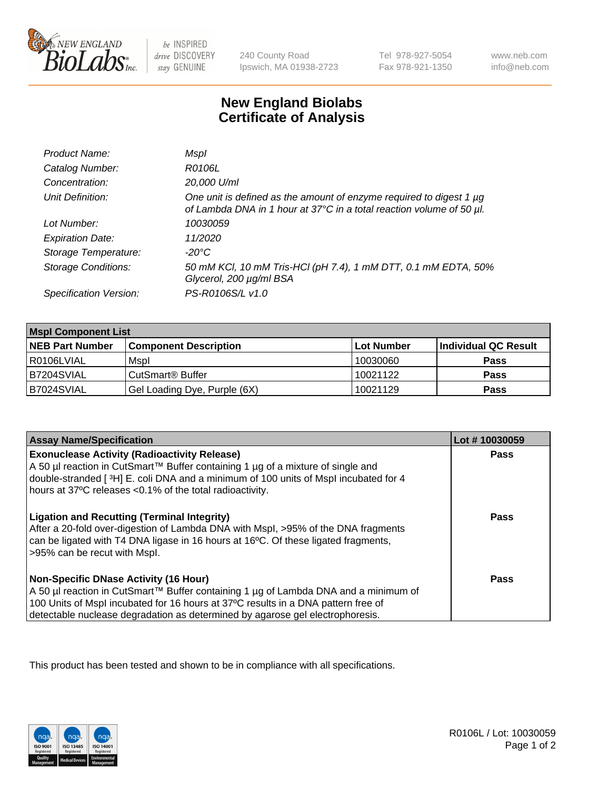

 $be$  INSPIRED drive DISCOVERY stay GENUINE

240 County Road Ipswich, MA 01938-2723 Tel 978-927-5054 Fax 978-921-1350

www.neb.com info@neb.com

## **New England Biolabs Certificate of Analysis**

| Product Name:              | Mspl                                                                                                                                        |
|----------------------------|---------------------------------------------------------------------------------------------------------------------------------------------|
| Catalog Number:            | R0106L                                                                                                                                      |
| Concentration:             | 20,000 U/ml                                                                                                                                 |
| Unit Definition:           | One unit is defined as the amount of enzyme required to digest 1 µg<br>of Lambda DNA in 1 hour at 37°C in a total reaction volume of 50 µl. |
| Lot Number:                | 10030059                                                                                                                                    |
| <b>Expiration Date:</b>    | 11/2020                                                                                                                                     |
| Storage Temperature:       | -20°C                                                                                                                                       |
| <b>Storage Conditions:</b> | 50 mM KCl, 10 mM Tris-HCl (pH 7.4), 1 mM DTT, 0.1 mM EDTA, 50%<br>Glycerol, 200 µg/ml BSA                                                   |
| Specification Version:     | PS-R0106S/L v1.0                                                                                                                            |

| <b>Mspl Component List</b> |                              |            |                      |  |
|----------------------------|------------------------------|------------|----------------------|--|
| <b>NEB Part Number</b>     | <b>Component Description</b> | Lot Number | Individual QC Result |  |
| I R0106LVIAL               | Mspl                         | 10030060   | <b>Pass</b>          |  |
| IB7204SVIAL                | CutSmart <sup>®</sup> Buffer | 10021122   | <b>Pass</b>          |  |
| B7024SVIAL                 | Gel Loading Dye, Purple (6X) | 10021129   | <b>Pass</b>          |  |

| <b>Assay Name/Specification</b>                                                                                                                                                                                                                                                                             | Lot #10030059 |
|-------------------------------------------------------------------------------------------------------------------------------------------------------------------------------------------------------------------------------------------------------------------------------------------------------------|---------------|
| <b>Exonuclease Activity (Radioactivity Release)</b><br>A 50 µl reaction in CutSmart™ Buffer containing 1 µg of a mixture of single and<br>double-stranded [3H] E. coli DNA and a minimum of 100 units of Mspl incubated for 4<br>hours at 37°C releases <0.1% of the total radioactivity.                   | Pass          |
| <b>Ligation and Recutting (Terminal Integrity)</b><br>After a 20-fold over-digestion of Lambda DNA with Mspl, >95% of the DNA fragments<br>can be ligated with T4 DNA ligase in 16 hours at 16 <sup>o</sup> C. Of these ligated fragments,<br>>95% can be recut with Mspl.                                  | Pass          |
| <b>Non-Specific DNase Activity (16 Hour)</b><br>  A 50 µl reaction in CutSmart™ Buffer containing 1 µg of Lambda DNA and a minimum of<br>100 Units of Mspl incubated for 16 hours at 37°C results in a DNA pattern free of<br>detectable nuclease degradation as determined by agarose gel electrophoresis. | Pass          |

This product has been tested and shown to be in compliance with all specifications.